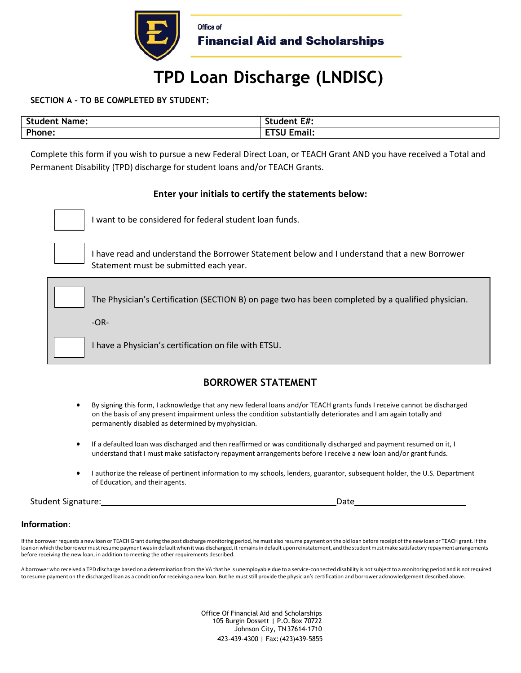

# **TPD Loan Discharge (LNDISC)**

**SECTION A – TO BE COMPLETED BY STUDENT:** 

| Student | Student E#:                 |
|---------|-----------------------------|
| : Name: |                             |
| Phone:  | $\bullet$<br>Email:<br>EIJU |

Complete this form if you wish to pursue a new Federal Direct Loan, or TEACH Grant AND you have received a Total and Permanent Disability (TPD) discharge for student loans and/or TEACH Grants.

# **Enter your initials to certify the statements below:**



I want to be considered for federal student loan funds.



D

D

I have read and understand the Borrower Statement below and I understand that a new Borrower Statement must be submitted each year.

The Physician's Certification (SECTION B) on page two has been completed by a qualified physician.

-OR-

I have a Physician's certification on file with ETSU.

# **BORROWER STATEMENT**

- By signing this form, I acknowledge that any new federal loans and/or TEACH grants funds I receive cannot be discharged on the basis of any present impairment unless the condition substantially deteriorates and I am again totally and permanently disabled as determined by myphysician.
- If a defaulted loan was discharged and then reaffirmed or was conditionally discharged and payment resumed on it, I understand that I must make satisfactory repayment arrangements before I receive a new loan and/or grant funds.
- I authorize the release of pertinent information to my schools, lenders, guarantor, subsequent holder, the U.S. Department of Education, and their agents.

Student Signature: Date

# **Information**:

If the borrower requests a new loan or TEACH Grant during the post discharge monitoring period, he must also resume payment on the old loan before receipt of the new loan or TEACH grant. If the loan on which the borrower must resume payment was in default when it was discharged, it remains in default upon reinstatement, and the student must make satisfactory repayment arrangements before receiving the new loan, in addition to meeting the other requirements described.

A borrower who received a TPD discharge based on a determination from the VA that he is unemployable due to a service-connected disability is not subject to a monitoring period and is not required to resume payment on the discharged loan as a condition for receiving a new loan. But he must still provide the physician's certification and borrower acknowledgement described above.

> Office Of Financial Aid and Scholarships 105 Burgin Dossett | P.O. Box 70722 Johnson City, TN 37614-1710 423-439-4300 | Fax:(423)439-5855